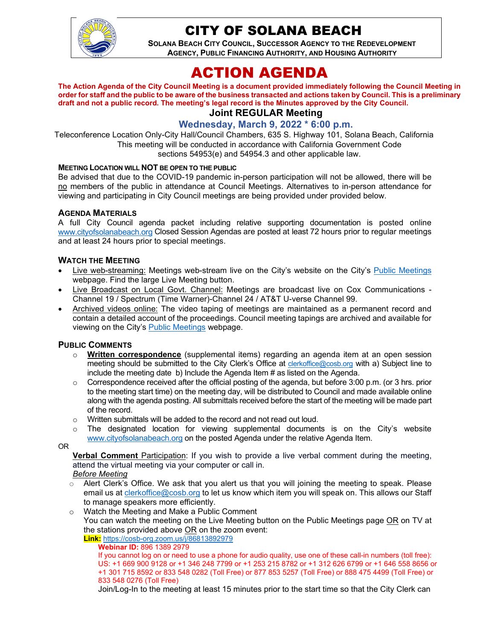

# CITY OF SOLANA BEACH

**SOLANA BEACH CITY COUNCIL, SUCCESSOR AGENCY TO THE REDEVELOPMENT AGENCY, PUBLIC FINANCING AUTHORITY, AND HOUSING AUTHORITY** 

# ACTION AGENDA

**The Action Agenda of the City Council Meeting is a document provided immediately following the Council Meeting in order for staff and the public to be aware of the business transacted and actions taken by Council. This is a preliminary draft and not a public record. The meeting's legal record is the Minutes approved by the City Council. Joint REGULAR Meeting**

# **Wednesday, March 9, 2022 \* 6:00 p.m.**

Teleconference Location Only-City Hall/Council Chambers, 635 S. Highway 101, Solana Beach, California This meeting will be conducted in accordance with California Government Code sections 54953(e) and 54954.3 and other applicable law.

#### **MEETING LOCATION WILL NOT BE OPEN TO THE PUBLIC**

Be advised that due to the COVID-19 pandemic in-person participation will not be allowed, there will be no members of the public in attendance at Council Meetings. Alternatives to in-person attendance for viewing and participating in City Council meetings are being provided under provided below.

#### **AGENDA MATERIALS**

A full City Council agenda packet including relative supporting documentation is posted online [www.cityofsolanabeach.org](http://www.cityofsolanabeach.org/) Closed Session Agendas are posted at least 72 hours prior to regular meetings and at least 24 hours prior to special meetings.

#### **WATCH THE MEETING**

- Live web-streaming: Meetings web-stream live on the City's website on the City's [Public Meetings](https://urldefense.proofpoint.com/v2/url?u=https-3A__www.ci.solana-2Dbeach.ca.us_index.asp-3FSEC-3DF0F1200D-2D21C6-2D4A88-2D8AE1-2D0BC07C1A81A7-26Type-3DB-5FBASIC&d=DwMFAg&c=euGZstcaTDllvimEN8b7jXrwqOf-v5A_CdpgnVfiiMM&r=1XAsCUuqwK_tji2t0s1uIQ&m=wny2RVfZJ2tN24LkqZmkUWNpwL_peNtTZUBlTBZiMM4&s=WwpcEQpHHkFen6nS6q2waMuQ_VMZ-i1YZ60lD-dYRRE&e=) webpage. Find the large Live Meeting button.
- Live Broadcast on Local Govt. Channel: Meetings are broadcast live on Cox Communications Channel 19 / Spectrum (Time Warner)-Channel 24 / AT&T U-verse Channel 99.
- Archived videos online: The video taping of meetings are maintained as a permanent record and contain a detailed account of the proceedings. Council meeting tapings are archived and available for viewing on the City's [Public Meetings](https://urldefense.proofpoint.com/v2/url?u=https-3A__www.ci.solana-2Dbeach.ca.us_index.asp-3FSEC-3DF0F1200D-2D21C6-2D4A88-2D8AE1-2D0BC07C1A81A7-26Type-3DB-5FBASIC&d=DwMFAg&c=euGZstcaTDllvimEN8b7jXrwqOf-v5A_CdpgnVfiiMM&r=1XAsCUuqwK_tji2t0s1uIQ&m=wny2RVfZJ2tN24LkqZmkUWNpwL_peNtTZUBlTBZiMM4&s=WwpcEQpHHkFen6nS6q2waMuQ_VMZ-i1YZ60lD-dYRRE&e=) webpage.

#### **PUBLIC COMMENTS**

- o **Written correspondence** (supplemental items) regarding an agenda item at an open session meeting should be submitted to the City Clerk's Office at [clerkoffice@cosb.org](mailto:clerkoffice@cosb.org) with a) Subject line to include the meeting date b) Include the Agenda Item # as listed on the Agenda.
- $\circ$  Correspondence received after the official posting of the agenda, but before 3:00 p.m. (or 3 hrs. prior to the meeting start time) on the meeting day, will be distributed to Council and made available online along with the agenda posting. All submittals received before the start of the meeting will be made part of the record.
- o Written submittals will be added to the record and not read out loud.
- $\circ$  The designated location for viewing supplemental documents is on the City's website [www.cityofsolanabeach.org](http://www.cityofsolanabeach.org/) on the posted Agenda under the relative Agenda Item.

OR

**Verbal Comment** Participation: If you wish to provide a live verbal comment during the meeting, attend the virtual meeting via your computer or call in.

#### *Before Meeting*

- $\circ$  Alert Clerk's Office. We ask that you alert us that you will joining the meeting to speak. Please email us at [clerkoffice@cosb.org](mailto:clerkoffice@cosb.org) to let us know which item you will speak on. This allows our Staff to manage speakers more efficiently.
- o Watch the Meeting and Make a Public Comment
	- You can watch the meeting on the Live Meeting button on the Public Meetings page OR on TV at the stations provided above OR on the zoom event:

**Link:** <https://cosb-org.zoom.us/j/86813892979>

**Webinar ID:** 896 1389 2979

If you cannot log on or need to use a phone for audio quality, use one of these call-in numbers (toll free): US: +1 669 900 9128 or +1 346 248 7799 or +1 253 215 8782 or +1 312 626 6799 or +1 646 558 8656 or +1 301 715 8592 or 833 548 0282 (Toll Free) or 877 853 5257 (Toll Free) or 888 475 4499 (Toll Free) or 833 548 0276 (Toll Free)

Join/Log-In to the meeting at least 15 minutes prior to the start time so that the City Clerk can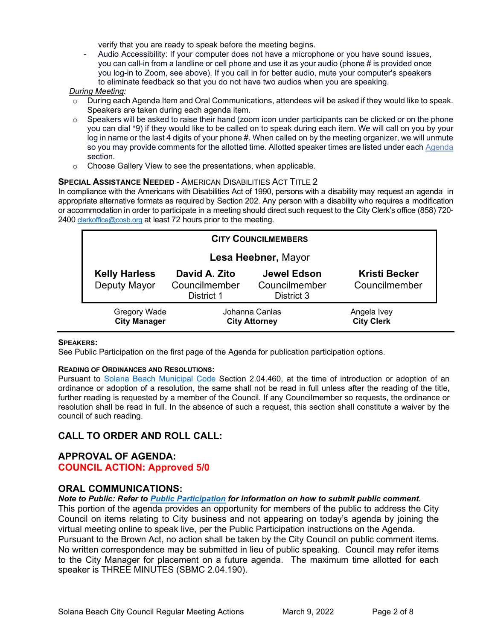verify that you are ready to speak before the meeting begins.

Audio Accessibility: If your computer does not have a microphone or you have sound issues, you can call-in from a landline or cell phone and use it as your audio (phone # is provided once you log-in to Zoom, see above). If you call in for better audio, mute your computer's speakers to eliminate feedback so that you do not have two audios when you are speaking.

#### *During Meeting:*

- During each Agenda Item and Oral Communications, attendees will be asked if they would like to speak. Speakers are taken during each agenda item.
- $\circ$  Speakers will be asked to raise their hand (zoom icon under participants can be clicked or on the phone you can dial \*9) if they would like to be called on to speak during each item. We will call on you by your log in name or the last 4 digits of your phone #. When called on by the meeting organizer, we will unmute so you may provide comments for the allotted time. Allotted speaker times are listed under eac[h Agenda](https://urldefense.proofpoint.com/v2/url?u=https-3A__www.ci.solana-2Dbeach.ca.us_index.asp-3FSEC-3DF0F1200D-2D21C6-2D4A88-2D8AE1-2D0BC07C1A81A7-26Type-3DB-5FBASIC&d=DwMFaQ&c=euGZstcaTDllvimEN8b7jXrwqOf-v5A_CdpgnVfiiMM&r=1XAsCUuqwK_tji2t0s1uIQ&m=C7WzXfOw2_nkEFMJClT55zZsF4tmIf_7KTn0o1WpYqI&s=3DcsWExM2_nx_xpvFtXslUjphiXd0MDCCF18y_Qy5yU&e=) section.
- o Choose Gallery View to see the presentations, when applicable.

#### **SPECIAL ASSISTANCE NEEDED - AMERICAN DISABILITIES ACT TITLE 2**

In compliance with the Americans with Disabilities Act of 1990, persons with a disability may request an agenda in appropriate alternative formats as required by Section 202. Any person with a disability who requires a modification or accommodation in order to participate in a meeting should direct such request to the City Clerk's office (858) 720 2400 [clerkoffice@cosb.org](mailto:EMAILGRP-CityClerksOfc@cosb.org) at least 72 hours prior to the meeting.

| <b>CITY COUNCILMEMBERS</b>                 |                                              |                                                   |                                       |
|--------------------------------------------|----------------------------------------------|---------------------------------------------------|---------------------------------------|
| Lesa Heebner, Mayor                        |                                              |                                                   |                                       |
| <b>Kelly Harless</b><br>Deputy Mayor       | David A. Zito<br>Councilmember<br>District 1 | <b>Jewel Edson</b><br>Councilmember<br>District 3 | <b>Kristi Becker</b><br>Councilmember |
| <b>Gregory Wade</b><br><b>City Manager</b> | Johanna Canlas<br><b>City Attorney</b>       |                                                   | Angela Ivey<br><b>City Clerk</b>      |

#### **SPEAKERS:**

See Public Participation on the first page of the Agenda for publication participation options.

#### **READING OF ORDINANCES AND RESOLUTIONS:**

Pursuant to [Solana Beach Municipal Code](https://www.codepublishing.com/CA/SolanaBeach/) Section 2.04.460, at the time of introduction or adoption of an ordinance or adoption of a resolution, the same shall not be read in full unless after the reading of the title, further reading is requested by a member of the Council. If any Councilmember so requests, the ordinance or resolution shall be read in full. In the absence of such a request, this section shall constitute a waiver by the council of such reading.

# **CALL TO ORDER AND ROLL CALL:**

## **APPROVAL OF AGENDA: COUNCIL ACTION: Approved 5/0**

## **ORAL COMMUNICATIONS:**

*Note to Public: Refer to Public Participation for information on how to submit public comment.*  This portion of the agenda provides an opportunity for members of the public to address the City Council on items relating to City business and not appearing on today's agenda by joining the virtual meeting online to speak live, per the Public Participation instructions on the Agenda. Pursuant to the Brown Act, no action shall be taken by the City Council on public comment items. No written correspondence may be submitted in lieu of public speaking. Council may refer items to the City Manager for placement on a future agenda. The maximum time allotted for each speaker is THREE MINUTES (SBMC 2.04.190).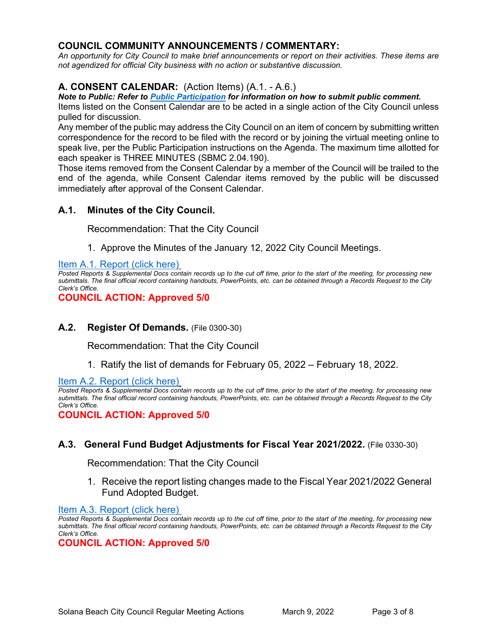# **COUNCIL COMMUNITY ANNOUNCEMENTS / COMMENTARY:**

*An opportunity for City Council to make brief announcements or report on their activities. These items are not agendized for official City business with no action or substantive discussion.* 

# **A. CONSENT CALENDAR:** (Action Items) (A.1. - A.6.)

*Note to Public: Refer to Public Participation for information on how to submit public comment.* 

Items listed on the Consent Calendar are to be acted in a single action of the City Council unless pulled for discussion.

Any member of the public may address the City Council on an item of concern by submitting written correspondence for the record to be filed with the record or by joining the virtual meeting online to speak live, per the Public Participation instructions on the Agenda. The maximum time allotted for each speaker is THREE MINUTES (SBMC 2.04.190).

Those items removed from the Consent Calendar by a member of the Council will be trailed to the end of the agenda, while Consent Calendar items removed by the public will be discussed immediately after approval of the Consent Calendar.

## **A.1. Minutes of the City Council.**

Recommendation: That the City Council

1. Approve the Minutes of the January 12, 2022 City Council Meetings.

#### [Item A.1. Report \(click here\)](https://solanabeach.govoffice3.com/vertical/Sites/%7B840804C2-F869-4904-9AE3-720581350CE7%7D/uploads/A.1._Report_(click_here)_3-9-22_-_O.pdf)

*Posted Reports & Supplemental Docs contain records up to the cut off time, prior to the start of the meeting, for processing new submittals. The final official record containing handouts, PowerPoints, etc. can be obtained through a Records Request to the City Clerk's Office.*

**COUNCIL ACTION: Approved 5/0**

## **A.2. Register Of Demands.** (File 0300-30)

Recommendation: That the City Council

1. Ratify the list of demands for February 05, 2022 – February 18, 2022.

[Item A.2. Report \(click here\)](https://solanabeach.govoffice3.com/vertical/Sites/%7B840804C2-F869-4904-9AE3-720581350CE7%7D/uploads/A.2._Report_(click_here)_-_3-9-22_-_O.pdf)

*Posted Reports & Supplemental Docs contain records up to the cut off time, prior to the start of the meeting, for processing new submittals. The final official record containing handouts, PowerPoints, etc. can be obtained through a Records Request to the City Clerk's Office.*

**COUNCIL ACTION: Approved 5/0**

## **A.3. General Fund Budget Adjustments for Fiscal Year 2021/2022.** (File 0330-30)

Recommendation: That the City Council

1. Receive the report listing changes made to the Fiscal Year 2021/2022 General Fund Adopted Budget.

#### [Item A.3. Report \(click here\)](https://solanabeach.govoffice3.com/vertical/Sites/%7B840804C2-F869-4904-9AE3-720581350CE7%7D/uploads/A.3._Report_(click_here)_3-9-22_-_O.pdf)

*Posted Reports & Supplemental Docs contain records up to the cut off time, prior to the start of the meeting, for processing new submittals. The final official record containing handouts, PowerPoints, etc. can be obtained through a Records Request to the City Clerk's Office.*

**COUNCIL ACTION: Approved 5/0**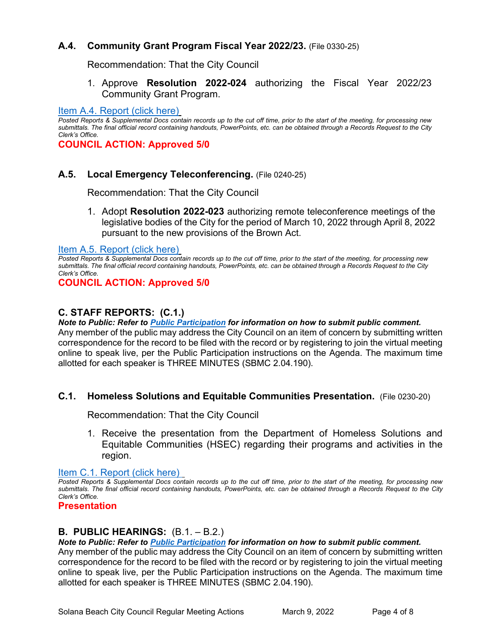# **A.4. Community Grant Program Fiscal Year 2022/23.** (File 0330-25)

Recommendation: That the City Council

1. Approve **Resolution 2022-024** authorizing the Fiscal Year 2022/23 Community Grant Program.

#### [Item A.4. Report \(click here\)](https://solanabeach.govoffice3.com/vertical/Sites/%7B840804C2-F869-4904-9AE3-720581350CE7%7D/uploads/A.4._Report_(click_here)_3-9-22_-_O.pdf)

*Posted Reports & Supplemental Docs contain records up to the cut off time, prior to the start of the meeting, for processing new submittals. The final official record containing handouts, PowerPoints, etc. can be obtained through a Records Request to the City Clerk's Office.*

**COUNCIL ACTION: Approved 5/0**

## **A.5. Local Emergency Teleconferencing.** (File 0240-25)

Recommendation: That the City Council

1. Adopt **Resolution 2022-023** authorizing remote teleconference meetings of the legislative bodies of the City for the period of March 10, 2022 through April 8, 2022 pursuant to the new provisions of the Brown Act.

[Item A.5. Report \(click here\)](https://solanabeach.govoffice3.com/vertical/Sites/%7B840804C2-F869-4904-9AE3-720581350CE7%7D/uploads/A.5._Report_(click_here)_3-9-22_-_O.pdf)

*Posted Reports & Supplemental Docs contain records up to the cut off time, prior to the start of the meeting, for processing new submittals. The final official record containing handouts, PowerPoints, etc. can be obtained through a Records Request to the City Clerk's Office.*

**COUNCIL ACTION: Approved 5/0**

# **C. STAFF REPORTS: (C.1.)**

*Note to Public: Refer to Public Participation for information on how to submit public comment.*  Any member of the public may address the City Council on an item of concern by submitting written correspondence for the record to be filed with the record or by registering to join the virtual meeting online to speak live, per the Public Participation instructions on the Agenda. The maximum time allotted for each speaker is THREE MINUTES (SBMC 2.04.190).

## **C.1. Homeless Solutions and Equitable Communities Presentation.** (File 0230-20)

Recommendation: That the City Council

1. Receive the presentation from the Department of Homeless Solutions and Equitable Communities (HSEC) regarding their programs and activities in the region.

[Item C.1. Report \(click here\)](https://solanabeach.govoffice3.com/vertical/Sites/%7B840804C2-F869-4904-9AE3-720581350CE7%7D/uploads/C.1._Report_(click_here)_3-9-22_-_O.pdf) 

*Posted Reports & Supplemental Docs contain records up to the cut off time, prior to the start of the meeting, for processing new submittals. The final official record containing handouts, PowerPoints, etc. can be obtained through a Records Request to the City Clerk's Office.*

#### **Presentation**

## **B. PUBLIC HEARINGS:** (B.1. – B.2.)

*Note to Public: Refer to Public Participation for information on how to submit public comment.* 

Any member of the public may address the City Council on an item of concern by submitting written correspondence for the record to be filed with the record or by registering to join the virtual meeting online to speak live, per the Public Participation instructions on the Agenda. The maximum time allotted for each speaker is THREE MINUTES (SBMC 2.04.190).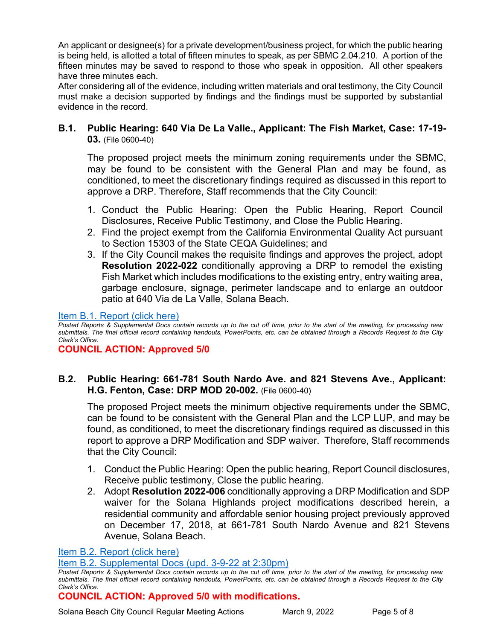An applicant or designee(s) for a private development/business project, for which the public hearing is being held, is allotted a total of fifteen minutes to speak, as per SBMC 2.04.210. A portion of the fifteen minutes may be saved to respond to those who speak in opposition. All other speakers have three minutes each.

After considering all of the evidence, including written materials and oral testimony, the City Council must make a decision supported by findings and the findings must be supported by substantial evidence in the record.

**B.1. Public Hearing: 640 Via De La Valle., Applicant: The Fish Market, Case: 17-19- 03.** (File 0600-40)

The proposed project meets the minimum zoning requirements under the SBMC, may be found to be consistent with the General Plan and may be found, as conditioned, to meet the discretionary findings required as discussed in this report to approve a DRP. Therefore, Staff recommends that the City Council:

- 1. Conduct the Public Hearing: Open the Public Hearing, Report Council Disclosures, Receive Public Testimony, and Close the Public Hearing.
- 2. Find the project exempt from the California Environmental Quality Act pursuant to Section 15303 of the State CEQA Guidelines; and
- 3. If the City Council makes the requisite findings and approves the project, adopt **Resolution 2022-022** conditionally approving a DRP to remodel the existing Fish Market which includes modifications to the existing entry, entry waiting area, garbage enclosure, signage, perimeter landscape and to enlarge an outdoor patio at 640 Via de La Valle, Solana Beach.

## [Item B.1. Report \(click here\)](https://solanabeach.govoffice3.com/vertical/Sites/%7B840804C2-F869-4904-9AE3-720581350CE7%7D/uploads/B.1._Report_(click_here)_3-9-22_-_O.pdf)

*Posted Reports & Supplemental Docs contain records up to the cut off time, prior to the start of the meeting, for processing new submittals. The final official record containing handouts, PowerPoints, etc. can be obtained through a Records Request to the City Clerk's Office.*

## **COUNCIL ACTION: Approved 5/0**

# **B.2. Public Hearing: 661-781 South Nardo Ave. and 821 Stevens Ave., Applicant: H.G. Fenton, Case: DRP MOD 20-002.** (File 0600-40)

The proposed Project meets the minimum objective requirements under the SBMC, can be found to be consistent with the General Plan and the LCP LUP, and may be found, as conditioned, to meet the discretionary findings required as discussed in this report to approve a DRP Modification and SDP waiver. Therefore, Staff recommends that the City Council:

- 1. Conduct the Public Hearing: Open the public hearing, Report Council disclosures, Receive public testimony, Close the public hearing.
- 2. Adopt **Resolution 2022-006** conditionally approving a DRP Modification and SDP waiver for the Solana Highlands project modifications described herein, a residential community and affordable senior housing project previously approved on December 17, 2018, at 661-781 South Nardo Avenue and 821 Stevens Avenue, Solana Beach.

## [Item B.2. Report \(click here\)](https://solanabeach.govoffice3.com/vertical/Sites/%7B840804C2-F869-4904-9AE3-720581350CE7%7D/uploads/B.2._Report_(click_here)_3-9-22_-_O.pdf)

## [Item B.2. Supplemental Docs \(upd. 3-9-22 at 2:30pm\)](https://solanabeach.govoffice3.com/vertical/Sites/%7B840804C2-F869-4904-9AE3-720581350CE7%7D/uploads/B.2._Supp_Docs_(3-9_120pm)_-_O.pdf)

# **COUNCIL ACTION: Approved 5/0 with modifications.**

Solana Beach City Council Regular Meeting Actions March 9, 2022 Page 5 of 8

*Posted Reports & Supplemental Docs contain records up to the cut off time, prior to the start of the meeting, for processing new submittals. The final official record containing handouts, PowerPoints, etc. can be obtained through a Records Request to the City Clerk's Office.*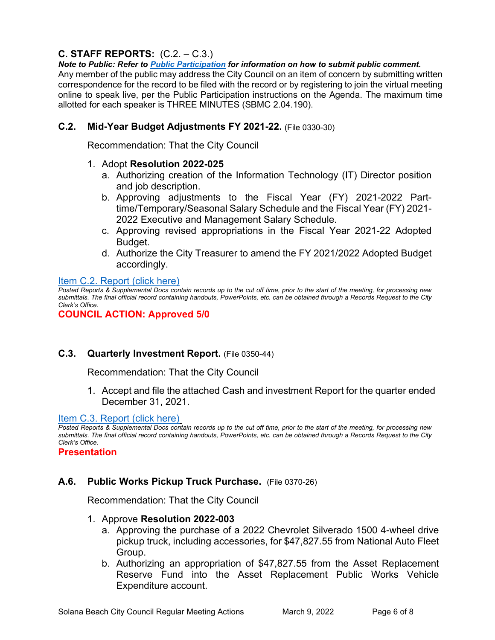# **C. STAFF REPORTS:** (C.2. – C.3.)

*Note to Public: Refer to Public Participation for information on how to submit public comment.*  Any member of the public may address the City Council on an item of concern by submitting written correspondence for the record to be filed with the record or by registering to join the virtual meeting online to speak live, per the Public Participation instructions on the Agenda. The maximum time allotted for each speaker is THREE MINUTES (SBMC 2.04.190).

# **C.2. Mid-Year Budget Adjustments FY 2021-22.** (File 0330-30)

Recommendation: That the City Council

## 1. Adopt **Resolution 2022-025**

- a. Authorizing creation of the Information Technology (IT) Director position and job description.
- b. Approving adjustments to the Fiscal Year (FY) 2021-2022 Parttime/Temporary/Seasonal Salary Schedule and the Fiscal Year (FY) 2021- 2022 Executive and Management Salary Schedule.
- c. Approving revised appropriations in the Fiscal Year 2021-22 Adopted Budget.
- d. Authorize the City Treasurer to amend the FY 2021/2022 Adopted Budget accordingly.

## [Item C.2. Report \(click here\)](https://solanabeach.govoffice3.com/vertical/Sites/%7B840804C2-F869-4904-9AE3-720581350CE7%7D/uploads/C.2._Report_(click_here)_3-9-22_-_O.pdf)

*Posted Reports & Supplemental Docs contain records up to the cut off time, prior to the start of the meeting, for processing new submittals. The final official record containing handouts, PowerPoints, etc. can be obtained through a Records Request to the City Clerk's Office.*

## **COUNCIL ACTION: Approved 5/0**

# **C.3. Quarterly Investment Report.** (File 0350-44)

Recommendation: That the City Council

1. Accept and file the attached Cash and investment Report for the quarter ended [December 31, 2021.](https://solanabeach.govoffice3.com/vertical/Sites/%7B840804C2-F869-4904-9AE3-720581350CE7%7D/uploads/C.3._Report_(click_here)_3-9-22_-_O.pdf)

## [Item C.3. Report](https://solanabeach.govoffice3.com/vertical/Sites/%7B840804C2-F869-4904-9AE3-720581350CE7%7D/uploads/C.3._Report_(click_here)_3-9-22_-_O.pdf) (click here)

*Posted Reports & Supplemental Docs contain records up to the cut off time, prior to the start of the meeting, for processing new submittals. The final official record containing handouts, PowerPoints, etc. can be obtained through a Records Request to the City Clerk's Office.*

**Presentation**

# **A.6. Public Works Pickup Truck Purchase.** (File 0370-26)

Recommendation: That the City Council

## 1. Approve **Resolution 2022-003**

- a. Approving the purchase of a 2022 Chevrolet Silverado 1500 4-wheel drive pickup truck, including accessories, for \$47,827.55 from National Auto Fleet Group.
- b. Authorizing an appropriation of \$47,827.55 from the Asset Replacement Reserve Fund into the Asset Replacement Public Works Vehicle Expenditure account.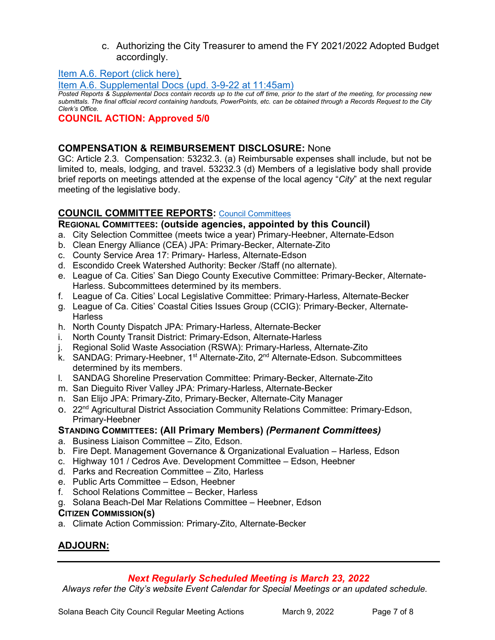## c. Authorizing the City Treasurer to amend the FY 2021/2022 Adopted Budget accordingly.

[Item A.6. Report \(click here\)](https://solanabeach.govoffice3.com/vertical/Sites/%7B840804C2-F869-4904-9AE3-720581350CE7%7D/uploads/A.6._Report_(click_here)_3-9-22_-_O.pdf)

[Item A.6. Supplemental Docs \(upd. 3-9-22 at 11:45am\)](https://solanabeach.govoffice3.com/vertical/Sites/%7B840804C2-F869-4904-9AE3-720581350CE7%7D/uploads/A.6._Supp_Docs_(3-9_1145am)_-_O.pdf)

*Posted Reports & Supplemental Docs contain records up to the cut off time, prior to the start of the meeting, for processing new submittals. The final official record containing handouts, PowerPoints, etc. can be obtained through a Records Request to the City Clerk's Office.*

## **COUNCIL ACTION: Approved 5/0**

## **COMPENSATION & REIMBURSEMENT DISCLOSURE:** None

GC: Article 2.3. Compensation: 53232.3. (a) Reimbursable expenses shall include, but not be limited to, meals, lodging, and travel. 53232.3 (d) Members of a legislative body shall provide brief reports on meetings attended at the expense of the local agency "*City*" at the next regular meeting of the legislative body.

# **COUNCIL COMMITTEE REPORTS:** [Council Committees](https://www.ci.solana-beach.ca.us/index.asp?SEC=584E1192-3850-46EA-B977-088AC3E81E0D&Type=B_BASIC)

## **REGIONAL COMMITTEES: (outside agencies, appointed by this Council)**

- a. City Selection Committee (meets twice a year) Primary-Heebner, Alternate-Edson
- b. Clean Energy Alliance (CEA) JPA: Primary-Becker, Alternate-Zito
- c. County Service Area 17: Primary- Harless, Alternate-Edson
- d. Escondido Creek Watershed Authority: Becker /Staff (no alternate).
- e. League of Ca. Cities' San Diego County Executive Committee: Primary-Becker, Alternate-Harless. Subcommittees determined by its members.
- f. League of Ca. Cities' Local Legislative Committee: Primary-Harless, Alternate-Becker
- g. League of Ca. Cities' Coastal Cities Issues Group (CCIG): Primary-Becker, Alternate-**Harless**
- h. North County Dispatch JPA: Primary-Harless, Alternate-Becker
- i. North County Transit District: Primary-Edson, Alternate-Harless
- j. Regional Solid Waste Association (RSWA): Primary-Harless, Alternate-Zito
- k. SANDAG: Primary-Heebner, 1<sup>st</sup> Alternate-Zito, 2<sup>nd</sup> Alternate-Edson. Subcommittees determined by its members.
- l. SANDAG Shoreline Preservation Committee: Primary-Becker, Alternate-Zito
- m. San Dieguito River Valley JPA: Primary-Harless, Alternate-Becker
- n. San Elijo JPA: Primary-Zito, Primary-Becker, Alternate-City Manager
- o. 22<sup>nd</sup> Agricultural District Association Community Relations Committee: Primary-Edson, Primary-Heebner

# **STANDING COMMITTEES: (All Primary Members)** *(Permanent Committees)*

- a. Business Liaison Committee Zito, Edson.
- b. Fire Dept. Management Governance & Organizational Evaluation Harless, Edson
- c. Highway 101 / Cedros Ave. Development Committee Edson, Heebner
- d. Parks and Recreation Committee Zito, Harless
- e. Public Arts Committee Edson, Heebner
- f. School Relations Committee Becker, Harless
- g. Solana Beach-Del Mar Relations Committee Heebner, Edson

## **CITIZEN COMMISSION(S)**

a. Climate Action Commission: Primary-Zito, Alternate-Becker

# **ADJOURN:**

# *Next Regularly Scheduled Meeting is March 23, 2022*

*Always refer the City's website Event Calendar for Special Meetings or an updated schedule.*